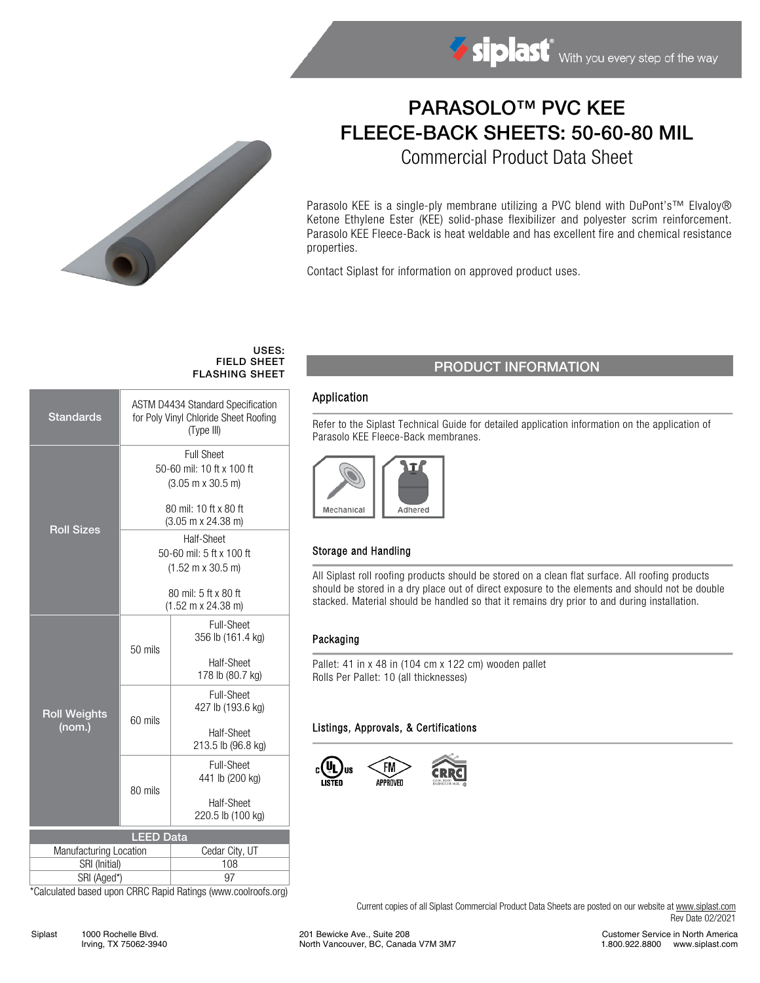

# PARASOLO™ PVC KEE FLEECE-BACK SHEETS: 50-60-80 MIL

Commercial Product Data Sheet

Parasolo KEE is a single-ply membrane utilizing a PVC blend with DuPont's™ Elvaloy® Ketone Ethylene Ester (KEE) solid-phase flexibilizer and polyester scrim reinforcement. Parasolo KEE Fleece-Back is heat weldable and has excellent fire and chemical resistance properties.

Contact Siplast for information on approved product uses.

#### USES: FIELD SHEET FLASHING SHEET

| <b>Standards</b>                           | <b>ASTM D4434 Standard Specification</b><br>for Poly Vinyl Chloride Sheet Roofing<br>(Type III) |                                |  |  |  |
|--------------------------------------------|-------------------------------------------------------------------------------------------------|--------------------------------|--|--|--|
| <b>Roll Sizes</b>                          | <b>Full Sheet</b>                                                                               |                                |  |  |  |
|                                            | 50-60 mil: 10 ft x 100 ft                                                                       |                                |  |  |  |
|                                            | $(3.05 \text{ m} \times 30.5 \text{ m})$                                                        |                                |  |  |  |
|                                            | 80 mil: 10 ft x 80 ft                                                                           |                                |  |  |  |
|                                            | $(3.05 \text{ m} \times 24.38 \text{ m})$                                                       |                                |  |  |  |
|                                            | Half-Sheet                                                                                      |                                |  |  |  |
|                                            | 50-60 mil: 5 ft x 100 ft                                                                        |                                |  |  |  |
|                                            | $(1.52 \text{ m} \times 30.5 \text{ m})$                                                        |                                |  |  |  |
|                                            | 80 mil: 5 ft x 80 ft                                                                            |                                |  |  |  |
|                                            | $(1.52 \text{ m} \times 24.38 \text{ m})$                                                       |                                |  |  |  |
| <b>Roll Weights</b><br>(nom.)              |                                                                                                 | <b>Full-Sheet</b>              |  |  |  |
|                                            |                                                                                                 | 356 lb (161.4 kg)              |  |  |  |
|                                            | 50 mils                                                                                         |                                |  |  |  |
|                                            |                                                                                                 | Half-Sheet<br>178 lb (80.7 kg) |  |  |  |
|                                            |                                                                                                 |                                |  |  |  |
|                                            |                                                                                                 | Full-Sheet                     |  |  |  |
|                                            | 60 mils                                                                                         | 427 lb (193.6 kg)              |  |  |  |
|                                            |                                                                                                 | Half-Sheet                     |  |  |  |
|                                            |                                                                                                 | 213.5 lb (96.8 kg)             |  |  |  |
|                                            |                                                                                                 | Full-Sheet                     |  |  |  |
|                                            |                                                                                                 | 441 lb (200 kg)                |  |  |  |
|                                            | 80 mils                                                                                         | Half-Sheet                     |  |  |  |
|                                            |                                                                                                 | 220.5 lb (100 kg)              |  |  |  |
|                                            |                                                                                                 |                                |  |  |  |
| <b>LEED Data</b><br>Manufacturing Location |                                                                                                 | Cedar City, UT                 |  |  |  |
| SRI (Initial)                              |                                                                                                 | 108                            |  |  |  |
| SRI (Aged*)                                |                                                                                                 | 97                             |  |  |  |
|                                            |                                                                                                 |                                |  |  |  |

\*Calculated based upon CRRC Rapid Ratings (www.coolroofs.org)

## PRODUCT INFORMATION

#### Application

Refer to the Siplast Technical Guide for detailed application information on the application of Parasolo KEE Fleece-Back membranes.



#### Storage and Handling

All Siplast roll roofing products should be stored on a clean flat surface. All roofing products should be stored in a dry place out of direct exposure to the elements and should not be double stacked. Material should be handled so that it remains dry prior to and during installation.

#### Packaging

Pallet: 41 in x 48 in (104 cm x 122 cm) wooden pallet Rolls Per Pallet: 10 (all thicknesses)

#### Listings, Approvals, & Certifications



Current copies of all Siplast Commercial Product Data Sheets are posted on our website a[t www.siplast.com](http://www.siplast.com/) Rev Date 02/2021

Siplast 1000 Rochelle Blvd. Irving, TX 75062-3940 201 Bewicke Ave., Suite 208 North Vancouver, BC, Canada V7M 3M7

Customer Service in North America 1.800.922.8800 www.siplast.com